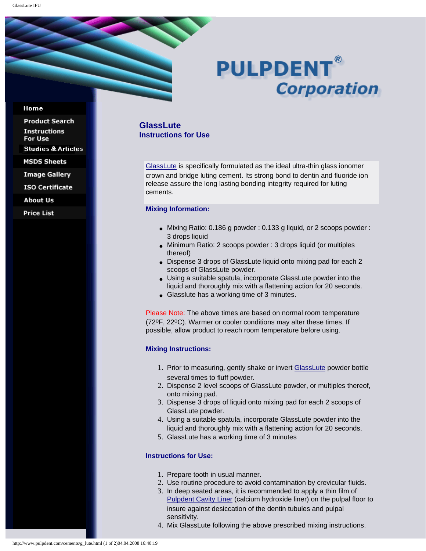# **PULPDENT® Corporation**

#### Home

**Product Search Instructions** For Use **Studies & Articles MSDS Sheets** 

**Image Gallery** 

**ISO Certificate** 

**About Us** 

**Price List** 

## **GlassLute Instructions for Use**

[GlassLute](http://www.pulpdent.com/cements/glass_cements.html#lute) is specifically formulated as the ideal ultra-thin glass ionomer crown and bridge luting cement. Its strong bond to dentin and fluoride ion release assure the long lasting bonding integrity required for luting cements.

#### **Mixing Information:**

- $\bullet$  Mixing Ratio: 0.186 g powder : 0.133 g liquid, or 2 scoops powder : 3 drops liquid
- Minimum Ratio: 2 scoops powder : 3 drops liquid (or multiples thereof)
- Dispense 3 drops of GlassLute liquid onto mixing pad for each 2 scoops of GlassLute powder.
- Using a suitable spatula, incorporate GlassLute powder into the liquid and thoroughly mix with a flattening action for 20 seconds.
- Glasslute has a working time of 3 minutes.

Please Note: The above times are based on normal room temperature (72oF, 22oC). Warmer or cooler conditions may alter these times. If possible, allow product to reach room temperature before using.

### **Mixing Instructions:**

- 1. Prior to measuring, gently shake or invert [GlassLute](http://www.pulpdent.com/cements/glass_cements.html#lute) powder bottle several times to fluff powder.
- 2. Dispense 2 level scoops of GlassLute powder, or multiples thereof, onto mixing pad.
- 3. Dispense 3 drops of liquid onto mixing pad for each 2 scoops of GlassLute powder.
- 4. Using a suitable spatula, incorporate GlassLute powder into the liquid and thoroughly mix with a flattening action for 20 seconds.
- 5. GlassLute has a working time of 3 minutes

## **Instructions for Use:**

- 1. Prepare tooth in usual manner.
- 2. Use routine procedure to avoid contamination by crevicular fluids.
- 3. In deep seated areas, it is recommended to apply a thin film of [Pulpdent Cavity Liner](http://www.pulpdent.com/c_hydro/liner.html) (calcium hydroxide liner) on the pulpal floor to insure against desiccation of the dentin tubules and pulpal sensitivity.
- 4. Mix GlassLute following the above prescribed mixing instructions.